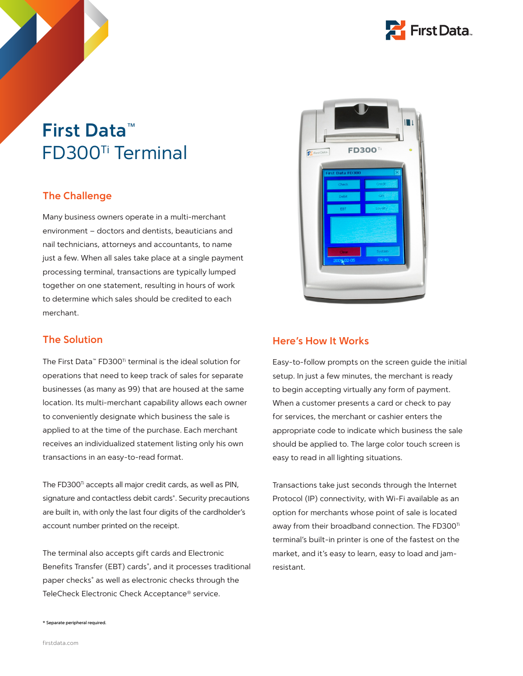

## **First Data™**  FD300Ti Terminal

## **The Challenge**

Many business owners operate in a multi-merchant environment – doctors and dentists, beauticians and nail technicians, attorneys and accountants, to name just a few. When all sales take place at a single payment processing terminal, transactions are typically lumped together on one statement, resulting in hours of work to determine which sales should be credited to each merchant.

## **The Solution**

The First Data™ FD300Ti terminal is the ideal solution for operations that need to keep track of sales for separate businesses (as many as 99) that are housed at the same location. Its multi-merchant capability allows each owner to conveniently designate which business the sale is applied to at the time of the purchase. Each merchant receives an individualized statement listing only his own transactions in an easy-to-read format.

The FD300<sup>Ti</sup> accepts all major credit cards, as well as PIN, signature and contactless debit cards\* . Security precautions are built in, with only the last four digits of the cardholder's account number printed on the receipt.

The terminal also accepts gift cards and Electronic Benefits Transfer (EBT) cards\* , and it processes traditional paper checks\* as well as electronic checks through the TeleCheck Electronic Check Acceptance® service.



#### **Here's How It Works**

Easy-to-follow prompts on the screen guide the initial setup. In just a few minutes, the merchant is ready to begin accepting virtually any form of payment. When a customer presents a card or check to pay for services, the merchant or cashier enters the appropriate code to indicate which business the sale should be applied to. The large color touch screen is easy to read in all lighting situations.

Transactions take just seconds through the Internet Protocol (IP) connectivity, with Wi-Fi available as an option for merchants whose point of sale is located away from their broadband connection. The FD300<sup>Ti</sup> terminal's built-in printer is one of the fastest on the market, and it's easy to learn, easy to load and jamresistant.

\* Separate peripheral required.